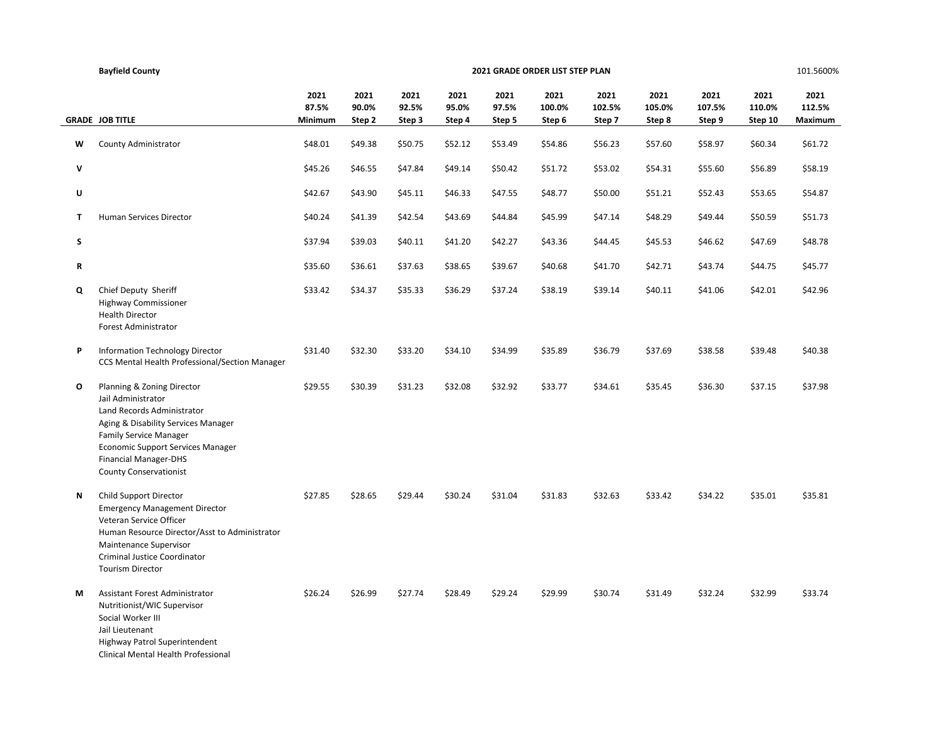|        | <b>Bayfield County</b>                                                                                                                                                                                                                                       |                          | 2021 GRADE ORDER LIST STEP PLAN |                         |                         |                         |                          |                          |                          |                          |                           | 101.5600%                 |
|--------|--------------------------------------------------------------------------------------------------------------------------------------------------------------------------------------------------------------------------------------------------------------|--------------------------|---------------------------------|-------------------------|-------------------------|-------------------------|--------------------------|--------------------------|--------------------------|--------------------------|---------------------------|---------------------------|
|        | <b>GRADE JOB TITLE</b>                                                                                                                                                                                                                                       | 2021<br>87.5%<br>Minimum | 2021<br>90.0%<br>Step 2         | 2021<br>92.5%<br>Step 3 | 2021<br>95.0%<br>Step 4 | 2021<br>97.5%<br>Step 5 | 2021<br>100.0%<br>Step 6 | 2021<br>102.5%<br>Step 7 | 2021<br>105.0%<br>Step 8 | 2021<br>107.5%<br>Step 9 | 2021<br>110.0%<br>Step 10 | 2021<br>112.5%<br>Maximum |
| W      | County Administrator                                                                                                                                                                                                                                         | \$48.01                  | \$49.38                         | \$50.75                 | \$52.12                 | \$53.49                 | \$54.86                  | \$56.23                  | \$57.60                  | \$58.97                  | \$60.34                   | \$61.72                   |
| v      |                                                                                                                                                                                                                                                              | \$45.26                  | \$46.55                         | \$47.84                 | \$49.14                 | \$50.42                 | \$51.72                  | \$53.02                  | \$54.31                  | \$55.60                  | \$56.89                   | \$58.19                   |
| U      |                                                                                                                                                                                                                                                              | \$42.67                  | \$43.90                         | \$45.11                 | \$46.33                 | \$47.55                 | \$48.77                  | \$50.00                  | \$51.21                  | \$52.43                  | \$53.65                   | \$54.87                   |
| T.     | <b>Human Services Director</b>                                                                                                                                                                                                                               | \$40.24                  | \$41.39                         | \$42.54                 | \$43.69                 | \$44.84                 | \$45.99                  | \$47.14                  | \$48.29                  | \$49.44                  | \$50.59                   | \$51.73                   |
| s<br>R |                                                                                                                                                                                                                                                              | \$37.94<br>\$35.60       | \$39.03<br>\$36.61              | \$40.11<br>\$37.63      | \$41.20<br>\$38.65      | \$42.27<br>\$39.67      | \$43.36<br>\$40.68       | \$44.45<br>\$41.70       | \$45.53<br>\$42.71       | \$46.62<br>\$43.74       | \$47.69<br>\$44.75        | \$48.78<br>\$45.77        |
| Q      | Chief Deputy Sheriff<br><b>Highway Commissioner</b><br><b>Health Director</b><br><b>Forest Administrator</b>                                                                                                                                                 | \$33.42                  | \$34.37                         | \$35.33                 | \$36.29                 | \$37.24                 | \$38.19                  | \$39.14                  | \$40.11                  | \$41.06                  | \$42.01                   | \$42.96                   |
| P      | Information Technology Director<br>CCS Mental Health Professional/Section Manager                                                                                                                                                                            | \$31.40                  | \$32.30                         | \$33.20                 | \$34.10                 | \$34.99                 | \$35.89                  | \$36.79                  | \$37.69                  | \$38.58                  | \$39.48                   | \$40.38                   |
| 0      | Planning & Zoning Director<br>Jail Administrator<br>Land Records Administrator<br>Aging & Disability Services Manager<br><b>Family Service Manager</b><br>Economic Support Services Manager<br><b>Financial Manager-DHS</b><br><b>County Conservationist</b> | \$29.55                  | \$30.39                         | \$31.23                 | \$32.08                 | \$32.92                 | \$33.77                  | \$34.61                  | \$35.45                  | \$36.30                  | \$37.15                   | \$37.98                   |
| Ν      | Child Support Director<br><b>Emergency Management Director</b><br>Veteran Service Officer<br>Human Resource Director/Asst to Administrator<br>Maintenance Supervisor<br>Criminal Justice Coordinator<br><b>Tourism Director</b>                              | \$27.85                  | \$28.65                         | \$29.44                 | \$30.24                 | \$31.04                 | \$31.83                  | \$32.63                  | \$33.42                  | \$34.22                  | \$35.01                   | \$35.81                   |
| М      | Assistant Forest Administrator<br>Nutritionist/WIC Supervisor<br>Social Worker III<br>Jail Lieutenant<br>Highway Patrol Superintendent<br>Clinical Mental Health Professional                                                                                | \$26.24                  | \$26.99                         | \$27.74                 | \$28.49                 | \$29.24                 | \$29.99                  | \$30.74                  | \$31.49                  | \$32.24                  | \$32.99                   | \$33.74                   |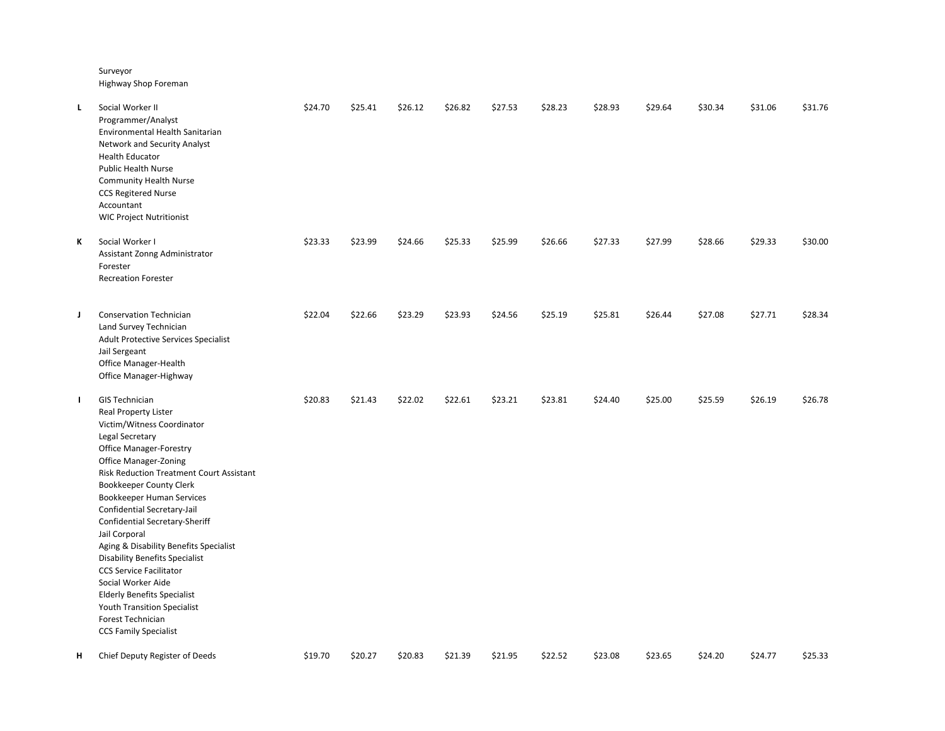Surveyor

Highway Shop Foreman

| L  | Social Worker II<br>Programmer/Analyst<br>Environmental Health Sanitarian<br>Network and Security Analyst<br><b>Health Educator</b><br><b>Public Health Nurse</b><br><b>Community Health Nurse</b><br><b>CCS Regitered Nurse</b><br>Accountant<br><b>WIC Project Nutritionist</b>                                                                                                                                                                                                                                                                                                                                           | \$24.70 | \$25.41 | \$26.12 | \$26.82 | \$27.53 | \$28.23 | \$28.93 | \$29.64 | \$30.34 | \$31.06 | \$31.76 |
|----|-----------------------------------------------------------------------------------------------------------------------------------------------------------------------------------------------------------------------------------------------------------------------------------------------------------------------------------------------------------------------------------------------------------------------------------------------------------------------------------------------------------------------------------------------------------------------------------------------------------------------------|---------|---------|---------|---------|---------|---------|---------|---------|---------|---------|---------|
| К  | Social Worker I<br>Assistant Zonng Administrator<br>Forester<br><b>Recreation Forester</b>                                                                                                                                                                                                                                                                                                                                                                                                                                                                                                                                  | \$23.33 | \$23.99 | \$24.66 | \$25.33 | \$25.99 | \$26.66 | \$27.33 | \$27.99 | \$28.66 | \$29.33 | \$30.00 |
| J  | <b>Conservation Technician</b><br>Land Survey Technician<br>Adult Protective Services Specialist<br>Jail Sergeant<br>Office Manager-Health<br>Office Manager-Highway                                                                                                                                                                                                                                                                                                                                                                                                                                                        | \$22.04 | \$22.66 | \$23.29 | \$23.93 | \$24.56 | \$25.19 | \$25.81 | \$26.44 | \$27.08 | \$27.71 | \$28.34 |
| Т. | <b>GIS Technician</b><br>Real Property Lister<br>Victim/Witness Coordinator<br>Legal Secretary<br><b>Office Manager-Forestry</b><br>Office Manager-Zoning<br><b>Risk Reduction Treatment Court Assistant</b><br>Bookkeeper County Clerk<br>Bookkeeper Human Services<br>Confidential Secretary-Jail<br>Confidential Secretary-Sheriff<br>Jail Corporal<br>Aging & Disability Benefits Specialist<br><b>Disability Benefits Specialist</b><br><b>CCS Service Facilitator</b><br>Social Worker Aide<br><b>Elderly Benefits Specialist</b><br>Youth Transition Specialist<br>Forest Technician<br><b>CCS Family Specialist</b> | \$20.83 | \$21.43 | \$22.02 | \$22.61 | \$23.21 | \$23.81 | \$24.40 | \$25.00 | \$25.59 | \$26.19 | \$26.78 |
| н  | Chief Deputy Register of Deeds                                                                                                                                                                                                                                                                                                                                                                                                                                                                                                                                                                                              | \$19.70 | \$20.27 | \$20.83 | \$21.39 | \$21.95 | \$22.52 | \$23.08 | \$23.65 | \$24.20 | \$24.77 | \$25.33 |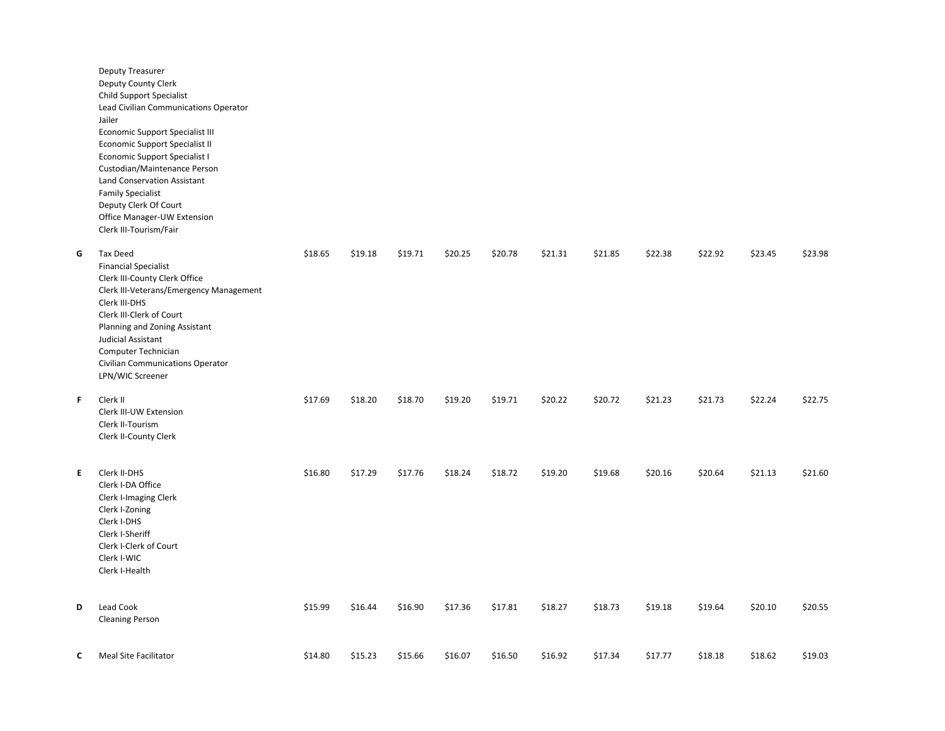|    | Deputy Treasurer<br>Deputy County Clerk<br>Child Support Specialist<br>Lead Civilian Communications Operator<br>Jailer<br>Economic Support Specialist III<br>Economic Support Specialist II<br>Economic Support Specialist I<br>Custodian/Maintenance Person<br><b>Land Conservation Assistant</b><br><b>Family Specialist</b><br>Deputy Clerk Of Court<br>Office Manager-UW Extension<br>Clerk III-Tourism/Fair |         |         |         |         |         |         |         |         |         |         |         |
|----|------------------------------------------------------------------------------------------------------------------------------------------------------------------------------------------------------------------------------------------------------------------------------------------------------------------------------------------------------------------------------------------------------------------|---------|---------|---------|---------|---------|---------|---------|---------|---------|---------|---------|
| G  | Tax Deed<br><b>Financial Specialist</b><br>Clerk III-County Clerk Office<br>Clerk III-Veterans/Emergency Management<br>Clerk III-DHS<br>Clerk III-Clerk of Court<br>Planning and Zoning Assistant<br>Judicial Assistant<br>Computer Technician<br>Civilian Communications Operator<br>LPN/WIC Screener                                                                                                           | \$18.65 | \$19.18 | \$19.71 | \$20.25 | \$20.78 | \$21.31 | \$21.85 | \$22.38 | \$22.92 | \$23.45 | \$23.98 |
| F  | Clerk II<br>Clerk III-UW Extension<br>Clerk II-Tourism<br>Clerk II-County Clerk                                                                                                                                                                                                                                                                                                                                  | \$17.69 | \$18.20 | \$18.70 | \$19.20 | \$19.71 | \$20.22 | \$20.72 | \$21.23 | \$21.73 | \$22.24 | \$22.75 |
| E. | Clerk II-DHS<br>Clerk I-DA Office<br>Clerk I-Imaging Clerk<br>Clerk I-Zoning<br>Clerk I-DHS<br>Clerk I-Sheriff<br>Clerk I-Clerk of Court<br>Clerk I-WIC<br>Clerk I-Health                                                                                                                                                                                                                                        | \$16.80 | \$17.29 | \$17.76 | \$18.24 | \$18.72 | \$19.20 | \$19.68 | \$20.16 | \$20.64 | \$21.13 | \$21.60 |
| D  | Lead Cook<br><b>Cleaning Person</b>                                                                                                                                                                                                                                                                                                                                                                              | \$15.99 | \$16.44 | \$16.90 | \$17.36 | \$17.81 | \$18.27 | \$18.73 | \$19.18 | \$19.64 | \$20.10 | \$20.55 |
| C  | Meal Site Facilitator                                                                                                                                                                                                                                                                                                                                                                                            | \$14.80 | \$15.23 | \$15.66 | \$16.07 | \$16.50 | \$16.92 | \$17.34 | \$17.77 | \$18.18 | \$18.62 | \$19.03 |